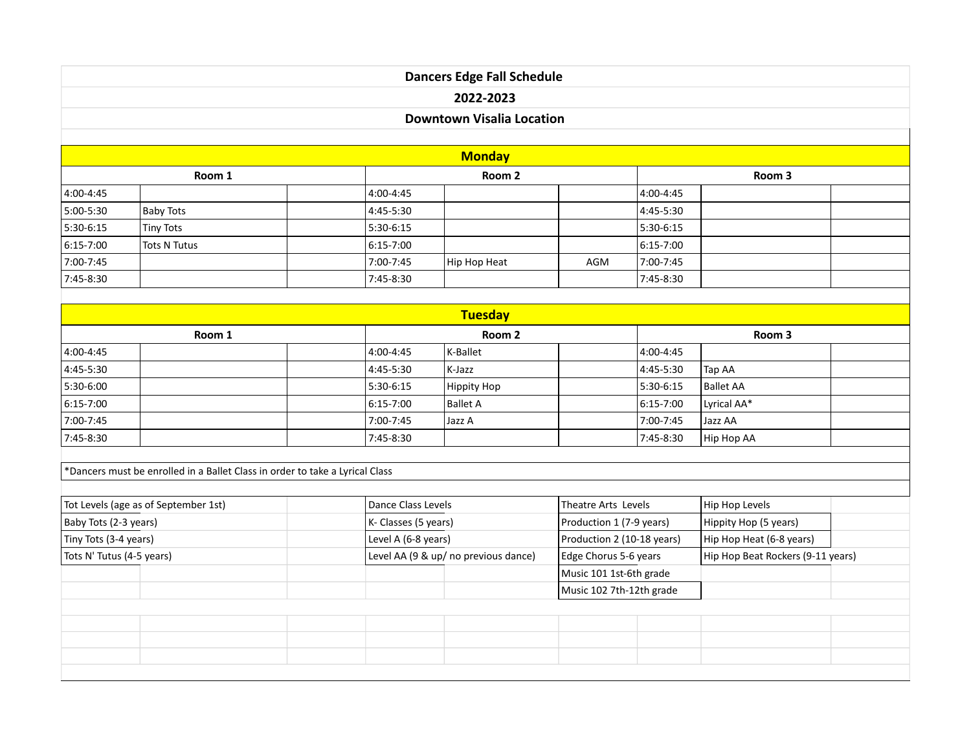| <b>Dancers Edge Fall Schedule</b> |  |  |  |  |  |
|-----------------------------------|--|--|--|--|--|
| 2022-2023                         |  |  |  |  |  |
| <b>Downtown Visalia Location</b>  |  |  |  |  |  |
|                                   |  |  |  |  |  |

| <b>Monday</b> |                  |  |               |              |     |               |  |  |
|---------------|------------------|--|---------------|--------------|-----|---------------|--|--|
| Room 1        |                  |  | Room 2        |              |     | Room 3        |  |  |
| $ 4:00-4:45 $ |                  |  | 4:00-4:45     |              |     | 4:00-4:45     |  |  |
| $5:00-5:30$   | Baby Tots        |  | 4:45-5:30     |              |     | 4:45-5:30     |  |  |
| $5:30-6:15$   | <b>Tiny Tots</b> |  | 5:30-6:15     |              |     | 5:30-6:15     |  |  |
| $ 6:15-7:00$  | Tots N Tutus     |  | $ 6:15-7:00 $ |              |     | $6:15 - 7:00$ |  |  |
| 7:00-7:45     |                  |  | 7:00-7:45     | Hip Hop Heat | AGM | 7:00-7:45     |  |  |
| 7:45-8:30     |                  |  | 7:45-8:30     |              |     | 7:45-8:30     |  |  |

| <b>Tuesday</b> |  |               |             |  |                |                  |  |
|----------------|--|---------------|-------------|--|----------------|------------------|--|
| Room 1         |  | Room 2        |             |  | Room 3         |                  |  |
| $ 4:00-4:45$   |  | 4:00-4:45     | K-Ballet    |  | $14:00 - 4:45$ |                  |  |
| $ 4:45-5:30 $  |  | 4:45-5:30     | K-Jazz      |  | $ 4:45-5:30$   | Tap AA           |  |
| $5:30-6:00$    |  | 5:30-6:15     | Hippity Hop |  | $15:30-6:15$   | <b>Ballet AA</b> |  |
| $ 6:15-7:00$   |  | $6:15 - 7:00$ | Ballet A    |  | $ 6:15-7:00$   | Lyrical AA*      |  |
| $7:00 - 7:45$  |  | 7:00-7:45     | Jazz A      |  | 7:00-7:45      | Jazz AA          |  |
| $ 7:45-8:30 $  |  | 7:45-8:30     |             |  | $17:45-8:30$   | Hip Hop AA       |  |

 $*$ Dancers must be enrolled in a Ballet Class in order to take a Lyrical Class

| Tot Levels (age as of September 1st) | Dance Class Levels                               |                            | Hip Hop Levels                    |  |
|--------------------------------------|--------------------------------------------------|----------------------------|-----------------------------------|--|
| Baby Tots (2-3 years)                | K- Classes (5 years)<br>Production 1 (7-9 years) |                            | Hippity Hop (5 years)             |  |
| Tiny Tots (3-4 years)                | Level A (6-8 years)                              | Production 2 (10-18 years) | Hip Hop Heat (6-8 years)          |  |
| Tots N' Tutus (4-5 years)            | Level AA (9 & up/ no previous dance)             | Edge Chorus 5-6 years      | Hip Hop Beat Rockers (9-11 years) |  |
|                                      |                                                  | Music 101 1st-6th grade    |                                   |  |
|                                      |                                                  | Music 102 7th-12th grade   |                                   |  |
|                                      |                                                  |                            |                                   |  |
|                                      |                                                  |                            |                                   |  |
|                                      |                                                  |                            |                                   |  |
|                                      |                                                  |                            |                                   |  |